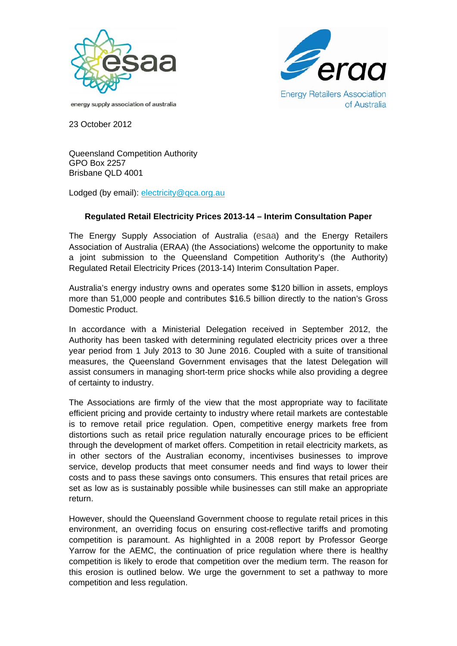



energy supply association of australia

23 October 2012

Queensland Competition Authority GPO Box 2257 Brisbane QLD 4001

Lodged (by email): electricity@qca.org.au

## **Regulated Retail Electricity Prices 2013-14 – Interim Consultation Paper**

The Energy Supply Association of Australia (esaa) and the Energy Retailers Association of Australia (ERAA) (the Associations) welcome the opportunity to make a joint submission to the Queensland Competition Authority's (the Authority) Regulated Retail Electricity Prices (2013-14) Interim Consultation Paper.

Australia's energy industry owns and operates some \$120 billion in assets, employs more than 51,000 people and contributes \$16.5 billion directly to the nation's Gross Domestic Product.

In accordance with a Ministerial Delegation received in September 2012, the Authority has been tasked with determining regulated electricity prices over a three year period from 1 July 2013 to 30 June 2016. Coupled with a suite of transitional measures, the Queensland Government envisages that the latest Delegation will assist consumers in managing short-term price shocks while also providing a degree of certainty to industry.

The Associations are firmly of the view that the most appropriate way to facilitate efficient pricing and provide certainty to industry where retail markets are contestable is to remove retail price regulation. Open, competitive energy markets free from distortions such as retail price regulation naturally encourage prices to be efficient through the development of market offers. Competition in retail electricity markets, as in other sectors of the Australian economy, incentivises businesses to improve service, develop products that meet consumer needs and find ways to lower their costs and to pass these savings onto consumers. This ensures that retail prices are set as low as is sustainably possible while businesses can still make an appropriate return.

However, should the Queensland Government choose to regulate retail prices in this environment, an overriding focus on ensuring cost-reflective tariffs and promoting competition is paramount. As highlighted in a 2008 report by Professor George Yarrow for the AEMC, the continuation of price regulation where there is healthy competition is likely to erode that competition over the medium term. The reason for this erosion is outlined below. We urge the government to set a pathway to more competition and less regulation.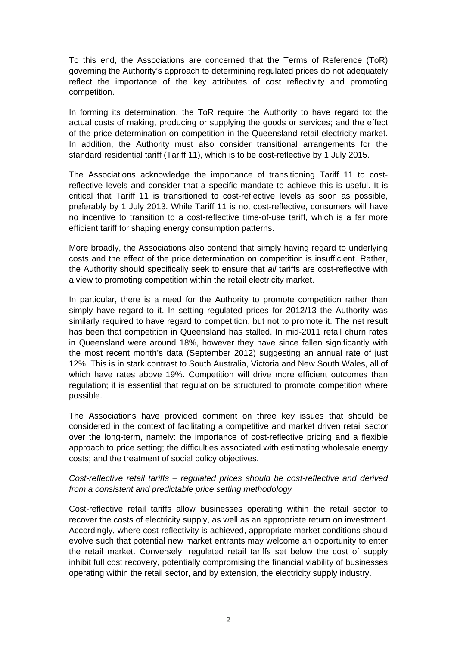To this end, the Associations are concerned that the Terms of Reference (ToR) governing the Authority's approach to determining regulated prices do not adequately reflect the importance of the key attributes of cost reflectivity and promoting competition.

In forming its determination, the ToR require the Authority to have regard to: the actual costs of making, producing or supplying the goods or services; and the effect of the price determination on competition in the Queensland retail electricity market. In addition, the Authority must also consider transitional arrangements for the standard residential tariff (Tariff 11), which is to be cost-reflective by 1 July 2015.

The Associations acknowledge the importance of transitioning Tariff 11 to costreflective levels and consider that a specific mandate to achieve this is useful. It is critical that Tariff 11 is transitioned to cost-reflective levels as soon as possible, preferably by 1 July 2013. While Tariff 11 is not cost-reflective, consumers will have no incentive to transition to a cost-reflective time-of-use tariff, which is a far more efficient tariff for shaping energy consumption patterns.

More broadly, the Associations also contend that simply having regard to underlying costs and the effect of the price determination on competition is insufficient. Rather, the Authority should specifically seek to ensure that *all* tariffs are cost-reflective with a view to promoting competition within the retail electricity market.

In particular, there is a need for the Authority to promote competition rather than simply have regard to it. In setting regulated prices for 2012/13 the Authority was similarly required to have regard to competition, but not to promote it. The net result has been that competition in Queensland has stalled. In mid-2011 retail churn rates in Queensland were around 18%, however they have since fallen significantly with the most recent month's data (September 2012) suggesting an annual rate of just 12%. This is in stark contrast to South Australia, Victoria and New South Wales, all of which have rates above 19%. Competition will drive more efficient outcomes than regulation; it is essential that regulation be structured to promote competition where possible.

The Associations have provided comment on three key issues that should be considered in the context of facilitating a competitive and market driven retail sector over the long-term, namely: the importance of cost-reflective pricing and a flexible approach to price setting; the difficulties associated with estimating wholesale energy costs; and the treatment of social policy objectives.

## *Cost-reflective retail tariffs – regulated prices should be cost-reflective and derived from a consistent and predictable price setting methodology*

Cost-reflective retail tariffs allow businesses operating within the retail sector to recover the costs of electricity supply, as well as an appropriate return on investment. Accordingly, where cost-reflectivity is achieved, appropriate market conditions should evolve such that potential new market entrants may welcome an opportunity to enter the retail market. Conversely, regulated retail tariffs set below the cost of supply inhibit full cost recovery, potentially compromising the financial viability of businesses operating within the retail sector, and by extension, the electricity supply industry.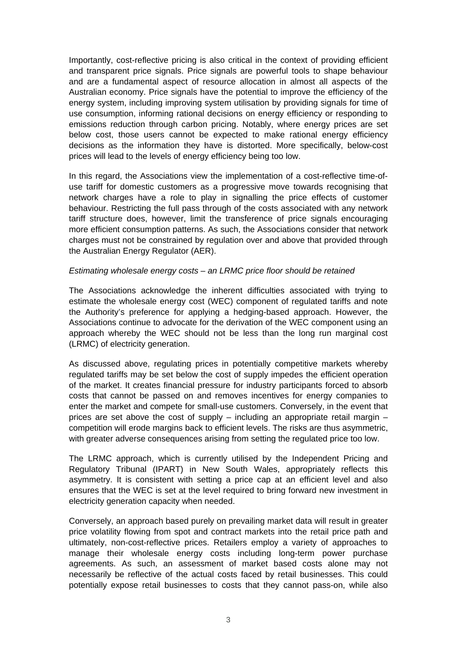Importantly, cost-reflective pricing is also critical in the context of providing efficient and transparent price signals. Price signals are powerful tools to shape behaviour and are a fundamental aspect of resource allocation in almost all aspects of the Australian economy. Price signals have the potential to improve the efficiency of the energy system, including improving system utilisation by providing signals for time of use consumption, informing rational decisions on energy efficiency or responding to emissions reduction through carbon pricing. Notably, where energy prices are set below cost, those users cannot be expected to make rational energy efficiency decisions as the information they have is distorted. More specifically, below-cost prices will lead to the levels of energy efficiency being too low.

In this regard, the Associations view the implementation of a cost-reflective time-ofuse tariff for domestic customers as a progressive move towards recognising that network charges have a role to play in signalling the price effects of customer behaviour. Restricting the full pass through of the costs associated with any network tariff structure does, however, limit the transference of price signals encouraging more efficient consumption patterns. As such, the Associations consider that network charges must not be constrained by regulation over and above that provided through the Australian Energy Regulator (AER).

## *Estimating wholesale energy costs – an LRMC price floor should be retained*

The Associations acknowledge the inherent difficulties associated with trying to estimate the wholesale energy cost (WEC) component of regulated tariffs and note the Authority's preference for applying a hedging-based approach. However, the Associations continue to advocate for the derivation of the WEC component using an approach whereby the WEC should not be less than the long run marginal cost (LRMC) of electricity generation.

As discussed above, regulating prices in potentially competitive markets whereby regulated tariffs may be set below the cost of supply impedes the efficient operation of the market. It creates financial pressure for industry participants forced to absorb costs that cannot be passed on and removes incentives for energy companies to enter the market and compete for small-use customers. Conversely, in the event that prices are set above the cost of supply – including an appropriate retail margin – competition will erode margins back to efficient levels. The risks are thus asymmetric, with greater adverse consequences arising from setting the regulated price too low.

The LRMC approach, which is currently utilised by the Independent Pricing and Regulatory Tribunal (IPART) in New South Wales, appropriately reflects this asymmetry. It is consistent with setting a price cap at an efficient level and also ensures that the WEC is set at the level required to bring forward new investment in electricity generation capacity when needed.

Conversely, an approach based purely on prevailing market data will result in greater price volatility flowing from spot and contract markets into the retail price path and ultimately, non-cost-reflective prices. Retailers employ a variety of approaches to manage their wholesale energy costs including long-term power purchase agreements. As such, an assessment of market based costs alone may not necessarily be reflective of the actual costs faced by retail businesses. This could potentially expose retail businesses to costs that they cannot pass-on, while also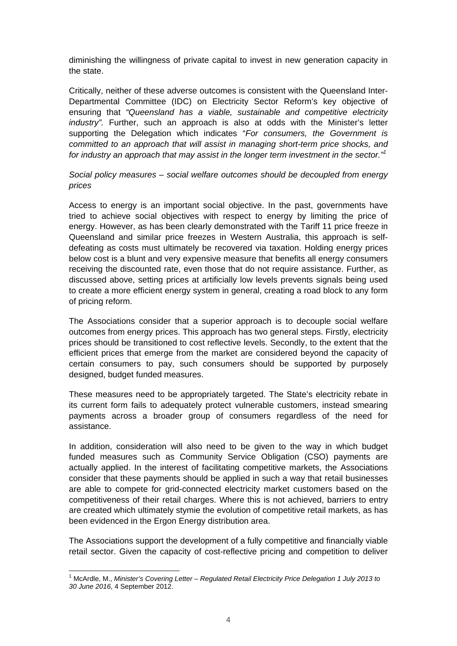diminishing the willingness of private capital to invest in new generation capacity in the state.

Critically, neither of these adverse outcomes is consistent with the Queensland Inter-Departmental Committee (IDC) on Electricity Sector Reform's key objective of ensuring that *"Queensland has a viable, sustainable and competitive electricity industry".* Further, such an approach is also at odds with the Minister's letter supporting the Delegation which indicates "*For consumers, the Government is committed to an approach that will assist in managing short-term price shocks, and for industry an approach that may assist in the longer term investment in the sector."1*

## *Social policy measures – social welfare outcomes should be decoupled from energy prices*

Access to energy is an important social objective. In the past, governments have tried to achieve social objectives with respect to energy by limiting the price of energy. However, as has been clearly demonstrated with the Tariff 11 price freeze in Queensland and similar price freezes in Western Australia, this approach is selfdefeating as costs must ultimately be recovered via taxation. Holding energy prices below cost is a blunt and very expensive measure that benefits all energy consumers receiving the discounted rate, even those that do not require assistance. Further, as discussed above, setting prices at artificially low levels prevents signals being used to create a more efficient energy system in general, creating a road block to any form of pricing reform.

The Associations consider that a superior approach is to decouple social welfare outcomes from energy prices. This approach has two general steps. Firstly, electricity prices should be transitioned to cost reflective levels. Secondly, to the extent that the efficient prices that emerge from the market are considered beyond the capacity of certain consumers to pay, such consumers should be supported by purposely designed, budget funded measures.

These measures need to be appropriately targeted. The State's electricity rebate in its current form fails to adequately protect vulnerable customers, instead smearing payments across a broader group of consumers regardless of the need for assistance.

In addition, consideration will also need to be given to the way in which budget funded measures such as Community Service Obligation (CSO) payments are actually applied. In the interest of facilitating competitive markets, the Associations consider that these payments should be applied in such a way that retail businesses are able to compete for grid-connected electricity market customers based on the competitiveness of their retail charges. Where this is not achieved, barriers to entry are created which ultimately stymie the evolution of competitive retail markets, as has been evidenced in the Ergon Energy distribution area.

The Associations support the development of a fully competitive and financially viable retail sector. Given the capacity of cost-reflective pricing and competition to deliver

 <sup>1</sup> McArdle, M., *Minister's Covering Letter – Regulated Retail Electricity Price Delegation 1 July 2013 to 30 June 2016*, 4 September 2012.